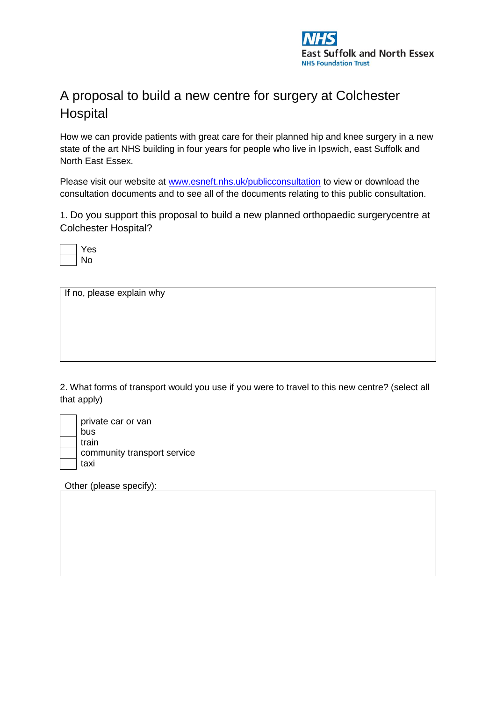

## A proposal to build a new centre for surgery at Colchester **Hospital**

How we can provide patients with great care for their planned hip and knee surgery in a new state of the art NHS building in four years for people who live in Ipswich, east Suffolk and North East Essex.

Please visit our website at [www.esneft.nhs.uk/publicconsultation](http://www.esneft.nhs.uk/publicconsultation) to view or download the consultation documents and to see all of the documents relating to this public consultation.

1. Do you support this proposal to build a new planned orthopaedic surgerycentre at Colchester Hospital?

| ÷<br>н, |
|---------|
|         |

If no, please explain why

2. What forms of transport would you use if you were to travel to this new centre? (select all that apply)

| private car or van          |
|-----------------------------|
| bus                         |
| train                       |
| community transport service |
| taxi                        |

Other (please specify):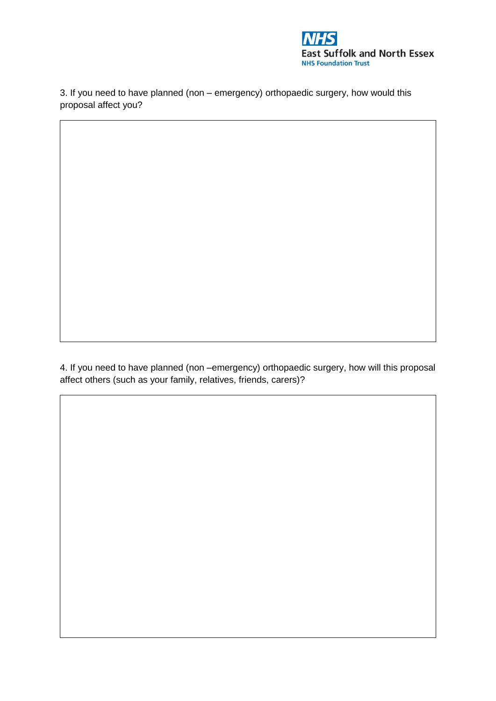

3. If you need to have planned (non – emergency) orthopaedic surgery, how would this proposal affect you?

4. If you need to have planned (non –emergency) orthopaedic surgery, how will this proposal affect others (such as your family, relatives, friends, carers)?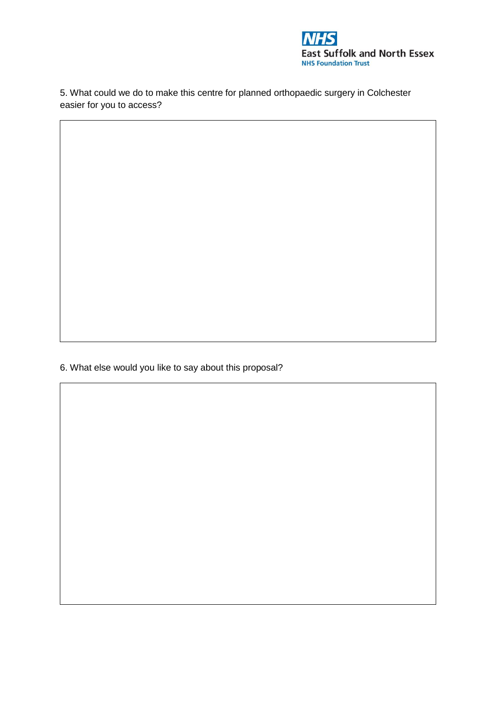

5. What could we do to make this centre for planned orthopaedic surgery in Colchester easier for you to access?

6. What else would you like to say about this proposal?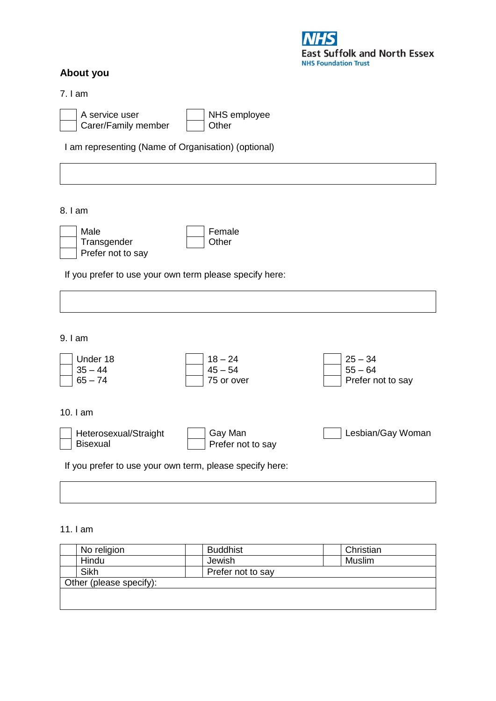## **About you**

**East Suffolk and North Essex NHS Foundation Trust** 

7. I am

| A service user      | NHS employee |
|---------------------|--------------|
| Carer/Family member | l Other      |

I am representing (Name of Organisation) (optional)

8. I am

| Male              | Female |
|-------------------|--------|
|                   |        |
| Transgender       | Other  |
| Prefer not to say |        |

If you prefer to use your own term please specify here:

9. I am

| Under 18<br>$35 - 44$<br>$65 - 74$                       | $18 - 24$<br>$45 - 54$<br>75 or over | $25 - 34$<br>$55 - 64$<br>Prefer not to say |
|----------------------------------------------------------|--------------------------------------|---------------------------------------------|
| 10. $I$ am                                               |                                      |                                             |
| Heterosexual/Straight<br><b>Bisexual</b>                 | Gay Man<br>Prefer not to say         | Lesbian/Gay Woman                           |
| If you prefer to use your own term, please specify here: |                                      |                                             |

11. I am

| No religion             | <b>Buddhist</b>   | Christian |
|-------------------------|-------------------|-----------|
| Hindu                   | Jewish            | Muslim    |
| Sikh                    | Prefer not to say |           |
| Other (please specify): |                   |           |
|                         |                   |           |
|                         |                   |           |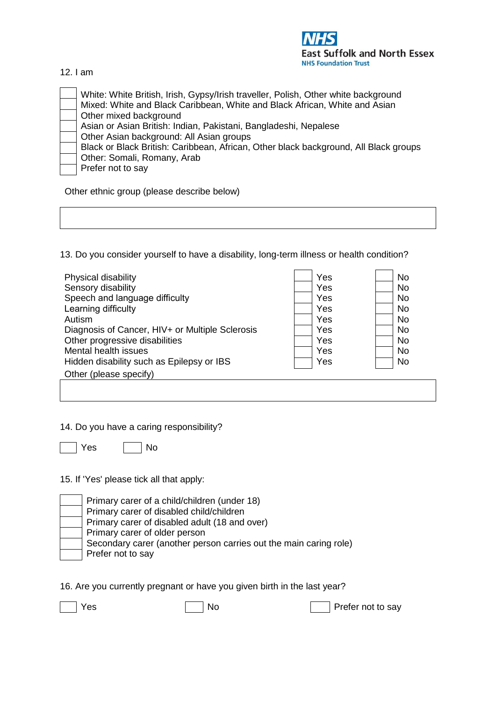

12. I am

White: White British, Irish, Gypsy/Irish traveller, Polish, Other white background Mixed: White and Black Caribbean, White and Black African, White and Asian Other mixed background Asian or Asian British: Indian, Pakistani, Bangladeshi, Nepalese Other Asian background: All Asian groups Black or Black British: Caribbean, African, Other black background, All Black groups Other: Somali, Romany, Arab Prefer not to say

Other ethnic group (please describe below)

13. Do you consider yourself to have a disability, long-term illness or health condition?

| Physical disability<br>Sensory disability<br>Speech and language difficulty | Yes<br>Yes<br>Yes | <b>No</b><br><b>No</b><br><b>No</b> |
|-----------------------------------------------------------------------------|-------------------|-------------------------------------|
| Learning difficulty                                                         | Yes               | No.                                 |
| Autism                                                                      | Yes               | <b>No</b>                           |
| Diagnosis of Cancer, HIV+ or Multiple Sclerosis                             | Yes               | <b>No</b>                           |
| Other progressive disabilities                                              | Yes               | No.                                 |
| Mental health issues                                                        | Yes               | <b>No</b>                           |
| Hidden disability such as Epilepsy or IBS                                   | Yes               | <b>No</b>                           |
| Other (please specify)                                                      |                   |                                     |
|                                                                             |                   |                                     |

14. Do you have a caring responsibility?

| es. |  |  |
|-----|--|--|
|-----|--|--|

15. If 'Yes' please tick all that apply:

| Primary carer of a child/children (under 18)                      |
|-------------------------------------------------------------------|
| Primary carer of disabled child/children                          |
| Primary carer of disabled adult (18 and over)                     |
| Primary carer of older person                                     |
| Secondary carer (another person carries out the main caring role) |
| Prefer not to say                                                 |

16. Are you currently pregnant or have you given birth in the last year?

Yes No Prefer not to say